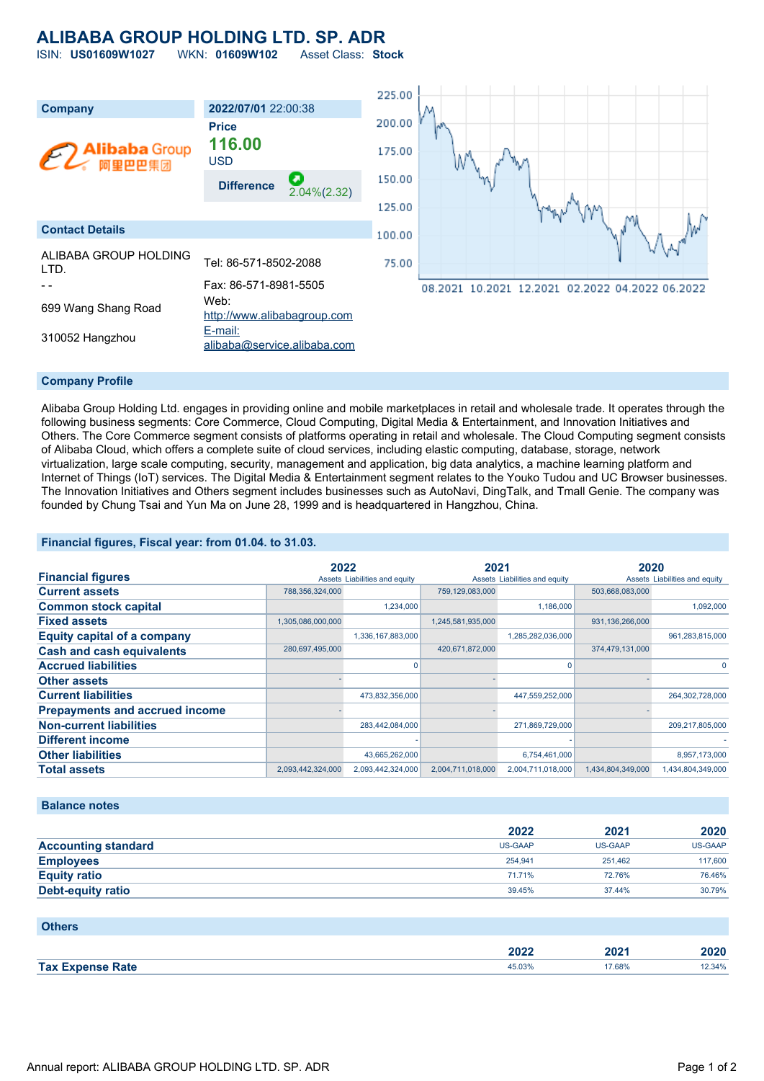# **ALIBABA GROUP HOLDING LTD. SP. ADR**

ISIN: **US01609W1027** WKN: **01609W102** Asset Class: **Stock**



### **Company Profile**

Alibaba Group Holding Ltd. engages in providing online and mobile marketplaces in retail and wholesale trade. It operates through the following business segments: Core Commerce, Cloud Computing, Digital Media & Entertainment, and Innovation Initiatives and Others. The Core Commerce segment consists of platforms operating in retail and wholesale. The Cloud Computing segment consists of Alibaba Cloud, which offers a complete suite of cloud services, including elastic computing, database, storage, network virtualization, large scale computing, security, management and application, big data analytics, a machine learning platform and Internet of Things (IoT) services. The Digital Media & Entertainment segment relates to the Youko Tudou and UC Browser businesses. The Innovation Initiatives and Others segment includes businesses such as AutoNavi, DingTalk, and Tmall Genie. The company was founded by Chung Tsai and Yun Ma on June 28, 1999 and is headquartered in Hangzhou, China.

### **Financial figures, Fiscal year: from 01.04. to 31.03.**

|                                       | 2022              |                               | 2021              |                               | 2020              |                               |
|---------------------------------------|-------------------|-------------------------------|-------------------|-------------------------------|-------------------|-------------------------------|
| <b>Financial figures</b>              |                   | Assets Liabilities and equity |                   | Assets Liabilities and equity |                   | Assets Liabilities and equity |
| <b>Current assets</b>                 | 788,356,324,000   |                               | 759,129,083,000   |                               | 503,668,083,000   |                               |
| <b>Common stock capital</b>           |                   | 1,234,000                     |                   | 1,186,000                     |                   | 1,092,000                     |
| <b>Fixed assets</b>                   | 1,305,086,000,000 |                               | 1,245,581,935,000 |                               | 931,136,266,000   |                               |
| <b>Equity capital of a company</b>    |                   | 1,336,167,883,000             |                   | 1,285,282,036,000             |                   | 961,283,815,000               |
| <b>Cash and cash equivalents</b>      | 280,697,495,000   |                               | 420,671,872,000   |                               | 374,479,131,000   |                               |
| <b>Accrued liabilities</b>            |                   | O                             |                   |                               |                   |                               |
| <b>Other assets</b>                   |                   |                               |                   |                               |                   |                               |
| <b>Current liabilities</b>            |                   | 473,832,356,000               |                   | 447,559,252,000               |                   | 264,302,728,000               |
| <b>Prepayments and accrued income</b> |                   |                               |                   |                               |                   |                               |
| <b>Non-current liabilities</b>        |                   | 283,442,084,000               |                   | 271,869,729,000               |                   | 209,217,805,000               |
| <b>Different income</b>               |                   |                               |                   |                               |                   |                               |
| <b>Other liabilities</b>              |                   | 43,665,262,000                |                   | 6,754,461,000                 |                   | 8,957,173,000                 |
| <b>Total assets</b>                   | 2,093,442,324,000 | 2,093,442,324,000             | 2,004,711,018,000 | 2,004,711,018,000             | 1,434,804,349,000 | 1,434,804,349,000             |

#### **Balance notes**

|                            | 2022    | 2021    | 2020    |
|----------------------------|---------|---------|---------|
| <b>Accounting standard</b> | US-GAAP | US-GAAP | US-GAAP |
| <b>Employees</b>           | 254.941 | 251.462 | 117,600 |
| <b>Equity ratio</b>        | 71.71%  | 72.76%  | 76.46%  |
| Debt-equity ratio          | 39.45%  | 37.44%  | 30.79%  |

| <b>Others</b>           |        |        |        |
|-------------------------|--------|--------|--------|
|                         | 2022   | 2021   | 2020   |
| <b>Tax Expense Rate</b> | 45.03% | 17.68% | 12.34% |